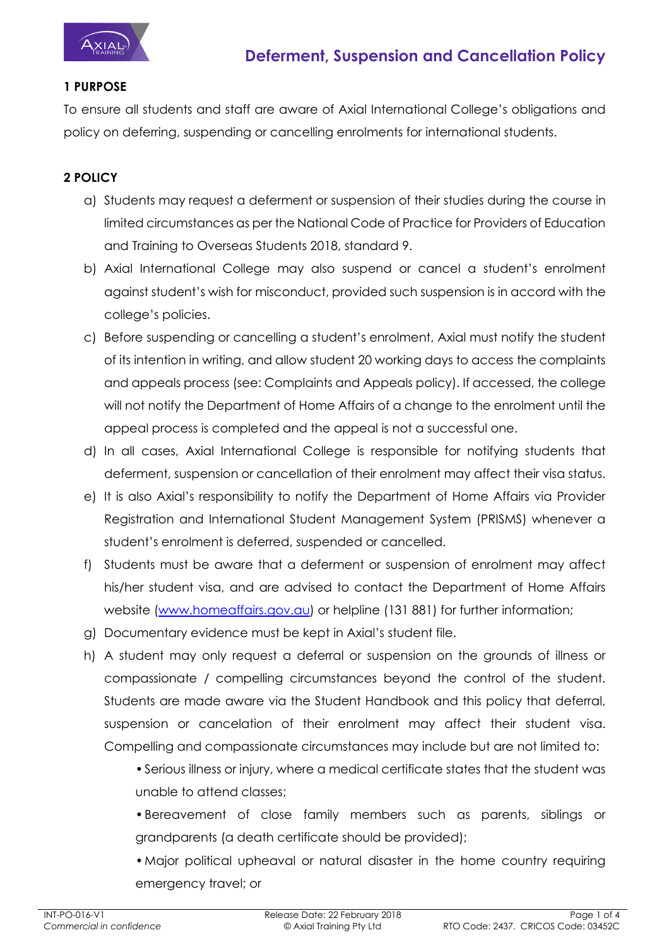

#### **1 PURPOSE**

To ensure all students and staff are aware of Axial International College's obligations and policy on deferring, suspending or cancelling enrolments for international students.

#### **2 POLICY**

- a) Students may request a deferment or suspension of their studies during the course in limited circumstances as per the National Code of Practice for Providers of Education and Training to Overseas Students 2018, standard 9.
- b) Axial International College may also suspend or cancel a student's enrolment against student's wish for misconduct, provided such suspension is in accord with the college's policies.
- c) Before suspending or cancelling a student's enrolment, Axial must notify the student of its intention in writing, and allow student 20 working days to access the complaints and appeals process (see: Complaints and Appeals policy). If accessed, the college will not notify the Department of Home Affairs of a change to the enrolment until the appeal process is completed and the appeal is not a successful one.
- d) In all cases, Axial International College is responsible for notifying students that deferment, suspension or cancellation of their enrolment may affect their visa status.
- e) It is also Axial's responsibility to notify the Department of Home Affairs via Provider Registration and International Student Management System (PRISMS) whenever a student's enrolment is deferred, suspended or cancelled.
- f) Students must be aware that a deferment or suspension of enrolment may affect his/her student visa, and are advised to contact the Department of Home Affairs website (www.homeaffairs.gov.au) or helpline (131 881) for further information;
- g) Documentary evidence must be kept in Axial's student file.
- h) A student may only request a deferral or suspension on the grounds of illness or compassionate / compelling circumstances beyond the control of the student. Students are made aware via the Student Handbook and this policy that deferral, suspension or cancelation of their enrolment may affect their student visa. Compelling and compassionate circumstances may include but are not limited to:

•Serious illness or injury, where a medical certificate states that the student was unable to attend classes;

•Bereavement of close family members such as parents, siblings or grandparents (a death certificate should be provided);

•Major political upheaval or natural disaster in the home country requiring emergency travel; or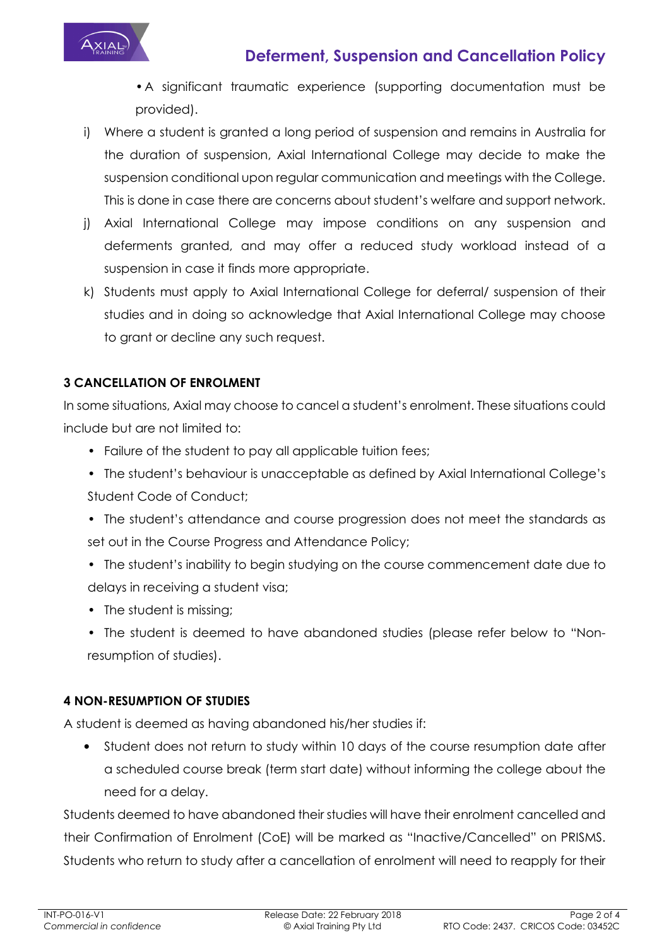

# **Deferment, Suspension and Cancellation Policy**

•A significant traumatic experience (supporting documentation must be provided).

- i) Where a student is granted a long period of suspension and remains in Australia for the duration of suspension, Axial International College may decide to make the suspension conditional upon regular communication and meetings with the College. This is done in case there are concerns about student's welfare and support network.
- j) Axial International College may impose conditions on any suspension and deferments granted, and may offer a reduced study workload instead of a suspension in case it finds more appropriate.
- k) Students must apply to Axial International College for deferral/ suspension of their studies and in doing so acknowledge that Axial International College may choose to grant or decline any such request.

#### **3 CANCELLATION OF ENROLMENT**

In some situations, Axial may choose to cancel a student's enrolment. These situations could include but are not limited to:

- Failure of the student to pay all applicable tuition fees;
- The student's behaviour is unacceptable as defined by Axial International College's Student Code of Conduct;
- The student's attendance and course progression does not meet the standards as set out in the Course Progress and Attendance Policy;
- The student's inability to begin studying on the course commencement date due to delays in receiving a student visa;
- The student is missing;
- The student is deemed to have abandoned studies (please refer below to "Nonresumption of studies).

#### **4 NON-RESUMPTION OF STUDIES**

A student is deemed as having abandoned his/her studies if:

• Student does not return to study within 10 days of the course resumption date after a scheduled course break (term start date) without informing the college about the need for a delay.

Students deemed to have abandoned their studies will have their enrolment cancelled and their Confirmation of Enrolment (CoE) will be marked as "Inactive/Cancelled" on PRISMS. Students who return to study after a cancellation of enrolment will need to reapply for their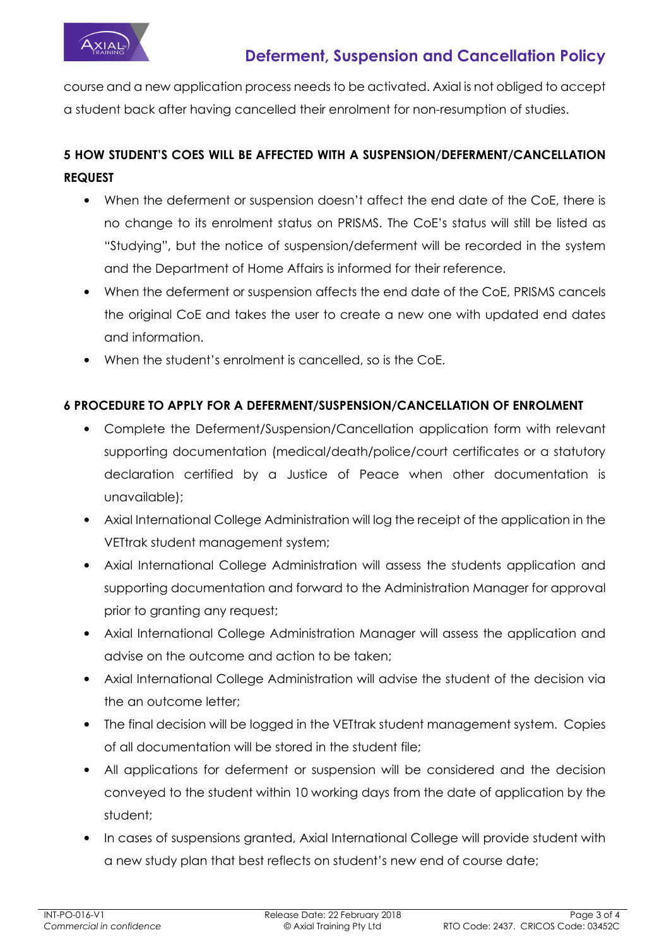

course and a new application process needs to be activated. Axial is not obliged to accept a student back after having cancelled their enrolment for non-resumption of studies.

## **5 HOW STUDENT'S COES WILL BE AFFECTED WITH A SUSPENSION/DEFERMENT/CANCELLATION REQUEST**

- When the deferment or suspension doesn't affect the end date of the CoE, there is no change to its enrolment status on PRISMS. The CoE's status will still be listed as "Studying", but the notice of suspension/deferment will be recorded in the system and the Department of Home Affairs is informed for their reference.
- When the deferment or suspension affects the end date of the CoE, PRISMS cancels the original CoE and takes the user to create a new one with updated end dates and information.
- When the student's enrolment is cancelled, so is the CoE.

### **6 PROCEDURE TO APPLY FOR A DEFERMENT/SUSPENSION/CANCELLATION OF ENROLMENT**

- Complete the Deferment/Suspension/Cancellation application form with relevant supporting documentation (medical/death/police/court certificates or a statutory declaration certified by a Justice of Peace when other documentation is unavailable);
- Axial International College Administration will log the receipt of the application in the VETtrak student management system;
- Axial International College Administration will assess the students application and supporting documentation and forward to the Administration Manager for approval prior to granting any request;
- Axial International College Administration Manager will assess the application and advise on the outcome and action to be taken;
- Axial International College Administration will advise the student of the decision via the an outcome letter;
- The final decision will be logged in the VETtrak student management system. Copies of all documentation will be stored in the student file;
- All applications for deferment or suspension will be considered and the decision conveyed to the student within 10 working days from the date of application by the student;
- In cases of suspensions granted, Axial International College will provide student with a new study plan that best reflects on student's new end of course date;